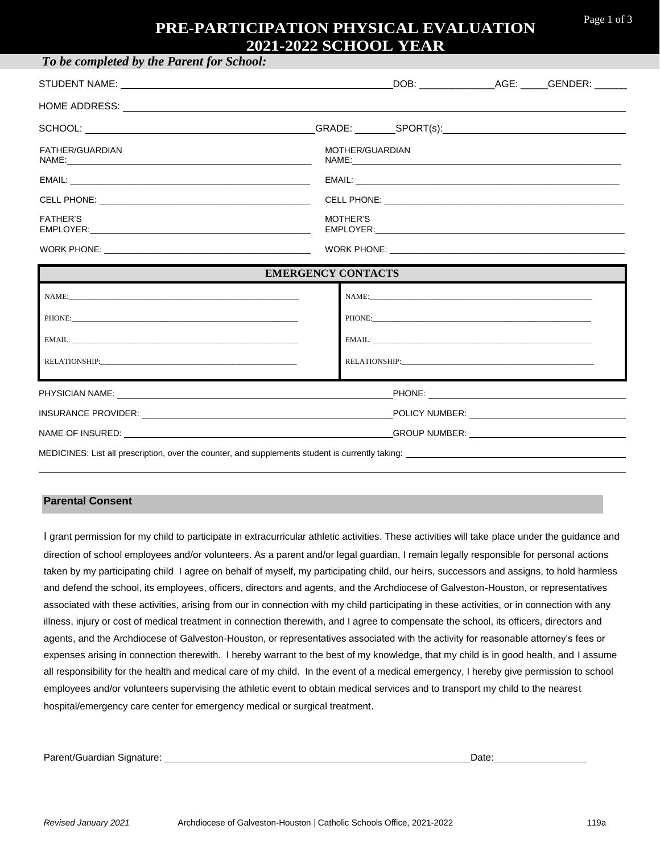## **PRE-PARTICIPATION PHYSICAL EVALUATION 2021-2022 SCHOOL YEAR**

| To be completed by the Parent for School:                                                                                                                                                                                                         |                                                                                                                                                                                                                                |  |  |  |  |  |  |
|---------------------------------------------------------------------------------------------------------------------------------------------------------------------------------------------------------------------------------------------------|--------------------------------------------------------------------------------------------------------------------------------------------------------------------------------------------------------------------------------|--|--|--|--|--|--|
|                                                                                                                                                                                                                                                   |                                                                                                                                                                                                                                |  |  |  |  |  |  |
|                                                                                                                                                                                                                                                   |                                                                                                                                                                                                                                |  |  |  |  |  |  |
|                                                                                                                                                                                                                                                   |                                                                                                                                                                                                                                |  |  |  |  |  |  |
| FATHER/GUARDIAN                                                                                                                                                                                                                                   | MOTHER/GUARDIAN                                                                                                                                                                                                                |  |  |  |  |  |  |
|                                                                                                                                                                                                                                                   |                                                                                                                                                                                                                                |  |  |  |  |  |  |
|                                                                                                                                                                                                                                                   |                                                                                                                                                                                                                                |  |  |  |  |  |  |
| <b>FATHER'S</b><br>EMPLOYER: New York State State State State State State State State State State State State State State State State State State State State State State State State State State State State State State State State State State | MOTHER'S                                                                                                                                                                                                                       |  |  |  |  |  |  |
|                                                                                                                                                                                                                                                   |                                                                                                                                                                                                                                |  |  |  |  |  |  |
| <b>EMERGENCY CONTACTS</b>                                                                                                                                                                                                                         |                                                                                                                                                                                                                                |  |  |  |  |  |  |
|                                                                                                                                                                                                                                                   |                                                                                                                                                                                                                                |  |  |  |  |  |  |
|                                                                                                                                                                                                                                                   |                                                                                                                                                                                                                                |  |  |  |  |  |  |
|                                                                                                                                                                                                                                                   |                                                                                                                                                                                                                                |  |  |  |  |  |  |
|                                                                                                                                                                                                                                                   | RELATIONSHIP: Participate of the contract of the contract of the contract of the contract of the contract of the contract of the contract of the contract of the contract of the contract of the contract of the contract of t |  |  |  |  |  |  |
|                                                                                                                                                                                                                                                   |                                                                                                                                                                                                                                |  |  |  |  |  |  |
|                                                                                                                                                                                                                                                   |                                                                                                                                                                                                                                |  |  |  |  |  |  |
| INSURANCE PROVIDER: The Contract of the Contract of Contract of Contract of Contract of Contract of Contract of Contract of Contract of Contract of Contract of Contract of Contract of Contract of Contract of Contract of Co                    |                                                                                                                                                                                                                                |  |  |  |  |  |  |
| NAME OF INSURED: NAME OF INSURED: NAME OF INSURED: NAME OF INSURED: NAME OF INSURED: NAME OF INSURED: NAME OF INSURED: NAME OF INSURED: NAME OF INSURED: NAME OF INSURED: NAME OF INSURED: NAME OF INSURED: NAME OF INSURED: N                    |                                                                                                                                                                                                                                |  |  |  |  |  |  |

MEDICINES: List all prescription, over the counter, and supplements student is currently taking:

#### **Parental Consent**

I grant permission for my child to participate in extracurricular athletic activities. These activities will take place under the guidance and direction of school employees and/or volunteers. As a parent and/or legal guardian, I remain legally responsible for personal actions taken by my participating child I agree on behalf of myself, my participating child, our heirs, successors and assigns, to hold harmless and defend the school, its employees, officers, directors and agents, and the Archdiocese of Galveston-Houston, or representatives associated with these activities, arising from our in connection with my child participating in these activities, or in connection with any illness, injury or cost of medical treatment in connection therewith, and I agree to compensate the school, its officers, directors and agents, and the Archdiocese of Galveston-Houston, or representatives associated with the activity for reasonable attorney's fees or expenses arising in connection therewith. I hereby warrant to the best of my knowledge, that my child is in good health, and I assume all responsibility for the health and medical care of my child. In the event of a medical emergency, I hereby give permission to school employees and/or volunteers supervising the athletic event to obtain medical services and to transport my child to the nearest hospital/emergency care center for emergency medical or surgical treatment.

Parent/Guardian Signature: Date: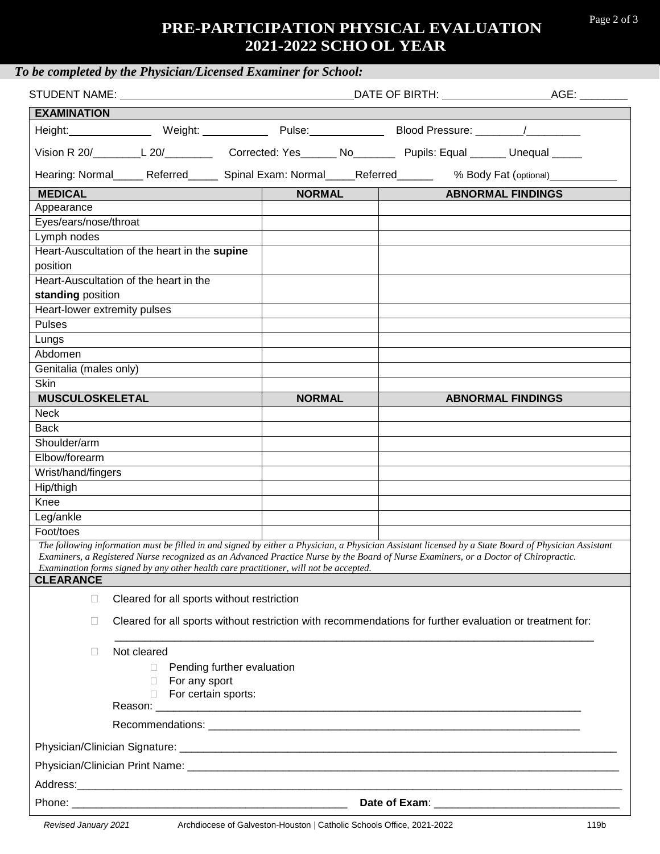### Page 2 of 3

# **PRE-PARTICIPATION PHYSICAL EVALUATION 2021-2022 SCHO OL YEAR**

|                              | STUDENT NAME: University of the state of the state of the state of the state of the state of the state of the state of the state of the state of the state of the state of the state of the state of the state of the state of<br>AGE: _________<br>DATE OF BIRTH: \\sqrt{\mathf{\mathf{\mathf{\mathf{\mathf{\mathf{\mathf{\mathf{\mathf{\mathf{\mathf{\mathf{\mathf{\mathf{\mathf{\mathf{\mathf{\mathf{\mathf{\mathf{\mathf{\mathf{\mathf{\mathf{\mathf{\mathf{\mathf{\mathf{\mat |               |                                     |                          |  |
|------------------------------|------------------------------------------------------------------------------------------------------------------------------------------------------------------------------------------------------------------------------------------------------------------------------------------------------------------------------------------------------------------------------------------------------------------------------------------------------------------------------------|---------------|-------------------------------------|--------------------------|--|
| <b>EXAMINATION</b>           |                                                                                                                                                                                                                                                                                                                                                                                                                                                                                    |               |                                     |                          |  |
|                              | Height: Meight: Neight: Netcommunically Pulse: Neight: Neight: Neight: Neight: Neight: Neight: Neight: Neight:                                                                                                                                                                                                                                                                                                                                                                     |               | Blood Pressure: _________/_________ |                          |  |
|                              | Vision R 20/_________L 20/_____________Corrected: Yes_______ No__________Pupils: Equal _______ Unequal ______                                                                                                                                                                                                                                                                                                                                                                      |               |                                     |                          |  |
|                              | Hearing: Normal______ Referred_______ Spinal Exam: Normal_____Referred_________ % Body Fat (optional)_______                                                                                                                                                                                                                                                                                                                                                                       |               |                                     |                          |  |
| <b>MEDICAL</b>               |                                                                                                                                                                                                                                                                                                                                                                                                                                                                                    | NORMAL        |                                     | <b>ABNORMAL FINDINGS</b> |  |
| Appearance                   |                                                                                                                                                                                                                                                                                                                                                                                                                                                                                    |               |                                     |                          |  |
| Eyes/ears/nose/throat        |                                                                                                                                                                                                                                                                                                                                                                                                                                                                                    |               |                                     |                          |  |
| Lymph nodes                  |                                                                                                                                                                                                                                                                                                                                                                                                                                                                                    |               |                                     |                          |  |
|                              | Heart-Auscultation of the heart in the supine                                                                                                                                                                                                                                                                                                                                                                                                                                      |               |                                     |                          |  |
| position                     |                                                                                                                                                                                                                                                                                                                                                                                                                                                                                    |               |                                     |                          |  |
|                              | Heart-Auscultation of the heart in the                                                                                                                                                                                                                                                                                                                                                                                                                                             |               |                                     |                          |  |
| standing position            |                                                                                                                                                                                                                                                                                                                                                                                                                                                                                    |               |                                     |                          |  |
| Heart-lower extremity pulses |                                                                                                                                                                                                                                                                                                                                                                                                                                                                                    |               |                                     |                          |  |
| <b>Pulses</b>                |                                                                                                                                                                                                                                                                                                                                                                                                                                                                                    |               |                                     |                          |  |
| Lungs                        |                                                                                                                                                                                                                                                                                                                                                                                                                                                                                    |               |                                     |                          |  |
| Abdomen                      |                                                                                                                                                                                                                                                                                                                                                                                                                                                                                    |               |                                     |                          |  |
| Genitalia (males only)       |                                                                                                                                                                                                                                                                                                                                                                                                                                                                                    |               |                                     |                          |  |
| <b>Skin</b>                  |                                                                                                                                                                                                                                                                                                                                                                                                                                                                                    |               |                                     |                          |  |
| <b>MUSCULOSKELETAL</b>       |                                                                                                                                                                                                                                                                                                                                                                                                                                                                                    | <b>NORMAL</b> |                                     | <b>ABNORMAL FINDINGS</b> |  |
| Neck                         |                                                                                                                                                                                                                                                                                                                                                                                                                                                                                    |               |                                     |                          |  |
| <b>Back</b>                  |                                                                                                                                                                                                                                                                                                                                                                                                                                                                                    |               |                                     |                          |  |
| Shoulder/arm                 |                                                                                                                                                                                                                                                                                                                                                                                                                                                                                    |               |                                     |                          |  |
| Elbow/forearm                |                                                                                                                                                                                                                                                                                                                                                                                                                                                                                    |               |                                     |                          |  |
| Wrist/hand/fingers           |                                                                                                                                                                                                                                                                                                                                                                                                                                                                                    |               |                                     |                          |  |
| Hip/thigh                    |                                                                                                                                                                                                                                                                                                                                                                                                                                                                                    |               |                                     |                          |  |
| Knee                         |                                                                                                                                                                                                                                                                                                                                                                                                                                                                                    |               |                                     |                          |  |
| Leg/ankle                    |                                                                                                                                                                                                                                                                                                                                                                                                                                                                                    |               |                                     |                          |  |
| Foot/toes                    |                                                                                                                                                                                                                                                                                                                                                                                                                                                                                    |               |                                     |                          |  |
| <b>CLEARANCE</b>             | The following information must be filled in and signed by either a Physician, a Physician Assistant licensed by a State Board of Physician Assistant<br>Examiners, a Registered Nurse recognized as an Advanced Practice Nurse by the Board of Nurse Examiners, or a Doctor of Chiropractic.<br>Examination forms signed by any other health care practitioner, will not be accepted.                                                                                              |               |                                     |                          |  |
| П                            | Cleared for all sports without restriction                                                                                                                                                                                                                                                                                                                                                                                                                                         |               |                                     |                          |  |
| $\Box$                       | Cleared for all sports without restriction with recommendations for further evaluation or treatment for:                                                                                                                                                                                                                                                                                                                                                                           |               |                                     |                          |  |
|                              |                                                                                                                                                                                                                                                                                                                                                                                                                                                                                    |               |                                     |                          |  |
| П                            | Not cleared                                                                                                                                                                                                                                                                                                                                                                                                                                                                        |               |                                     |                          |  |
|                              | Pending further evaluation<br>П.<br>For any sport                                                                                                                                                                                                                                                                                                                                                                                                                                  |               |                                     |                          |  |
|                              | For certain sports:                                                                                                                                                                                                                                                                                                                                                                                                                                                                |               |                                     |                          |  |
|                              |                                                                                                                                                                                                                                                                                                                                                                                                                                                                                    |               |                                     |                          |  |
|                              |                                                                                                                                                                                                                                                                                                                                                                                                                                                                                    |               |                                     |                          |  |
|                              |                                                                                                                                                                                                                                                                                                                                                                                                                                                                                    |               |                                     |                          |  |
|                              |                                                                                                                                                                                                                                                                                                                                                                                                                                                                                    |               |                                     |                          |  |
|                              |                                                                                                                                                                                                                                                                                                                                                                                                                                                                                    |               |                                     |                          |  |
|                              |                                                                                                                                                                                                                                                                                                                                                                                                                                                                                    |               |                                     |                          |  |
|                              |                                                                                                                                                                                                                                                                                                                                                                                                                                                                                    |               |                                     |                          |  |